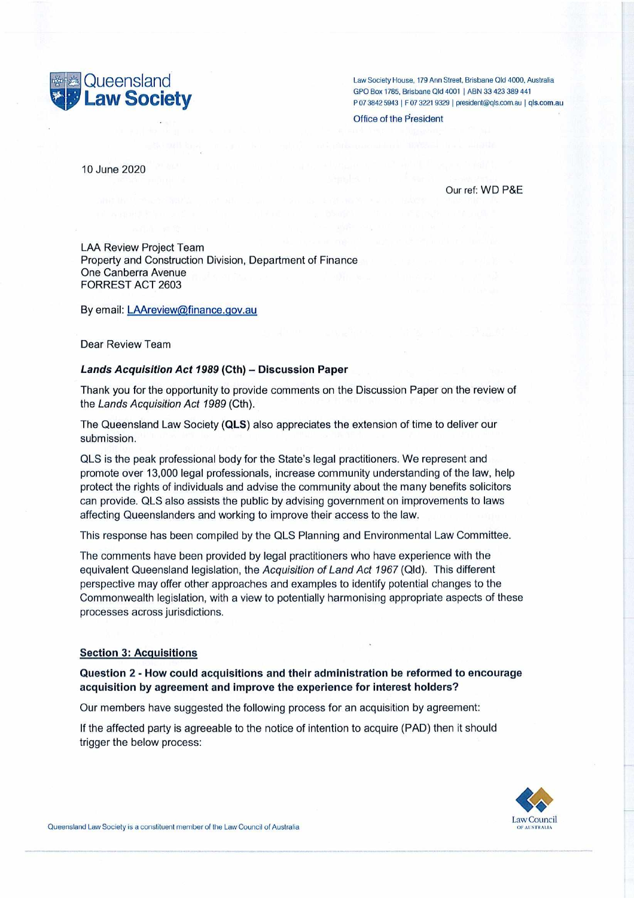

Law Society House, 179 Ann Street, Brisbane Old 4000, Australia<br>GPO Box 1785, Brisbane Qld 4001 | ABN 33 423 389 441 GPO BOX 1785, Brisbane Qld 4001 | ABN 33 423 388 441 P 07 3842 5943 <sup>|</sup> F 07 3221 9329 | [president@qls.com.au](mailto:president@qls.com.au) <sup>|</sup> qls.com.au

Office of the President

10 June 2020

Our ref: WD P&E

LAA Review Project Team Property and Construction Division, Department of Finance One Canberra Avenue FORREST ACT 2603

By email: [LAAreview@finance.qov.au](mailto:LAAreview@finance.qov.au)

Dear Review Team

### *Lands Acquisition Act <sup>1989</sup>* **(Cth)** - **Discussion Paper**

Thank you for the opportunity to provide comments on the Discussion Paper on the review of the *Lands Acquisition Act 1989* (Cth).

The Queensland Law Society **(QLS)** also appreciates the extension oftime to deliver our submission.

QLS is the peak professional body for the State's legal practitioners. We represent and promote over 13,000 legal professionals, increase community understanding of the law, help protect the rights of individuals and advise the community about the many benefits solicitors can provide. QLS also assists the public by advising government on improvements to laws affecting Queenslanders and working to improve their access to the law.

This response has been compiled by the QLS Planning and Environmental Law Committee.

The comments have been provided by legal practitioners who have experience with the equivalent Queensland legislation, the *Acquisition of Land Act 1967* (Qld). This different perspective may offer other approaches and examples to identify potential changes to the Commonwealth legislation, with a view to potentially harmonising appropriate aspects of these processes across jurisdictions.

#### **Section 3: Acquisitions**

# **Question 2 - How could acquisitions and their administration be reformed to encourage acquisition by agreement and improve the experience for interest holders?**

Our members have suggested the following process for an acquisition by agreement:

If the affected party is agreeable to the notice of intention to acquire (PAD) then it should trigger the below process:

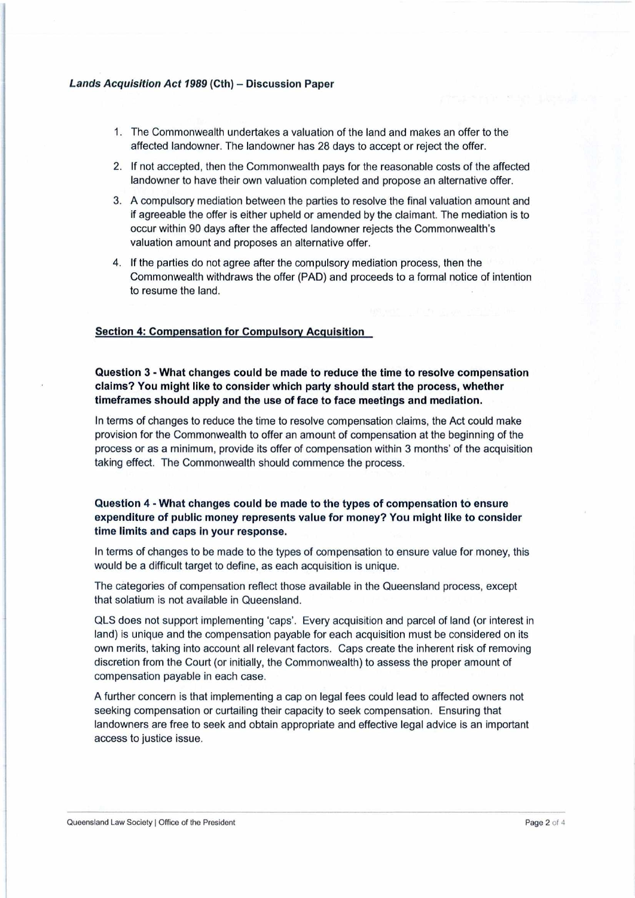## *Lands Acquisition Act <sup>1989</sup>* **(Cth)** - Discussion **Paper**

- 1. The Commonwealth undertakes a valuation of the land and makes an offer to the affected landowner. The landowner has 28 days to accept or reject the offer.
- 2. If not accepted, then the Commonwealth pays for the reasonable costs of the affected landowner to have their own valuation completed and propose an alternative offer.
- 3. A compulsory mediation between the parties to resolve the final valuation amount and if agreeable the offer is either upheld or amended by the claimant. The mediation is to occur within 90 days after the affected landowner rejects the Commonwealth's valuation amount and proposes an alternative offer.
- 4. If the parties do not agree after the compulsory mediation process, then the Commonwealth withdraws the offer (PAD) and proceeds to a formal notice of intention to resume the land.

## **Section 4: Compensation for Compulsory Acquisition**

**Question 3 - What changes could be made to reduce the time to resolve compensation claims? You might like to consider which party should start the process, whether timeframes should apply and the use of face to face meetings and mediation.**

In terms of changes to reduce the time to resolve compensation claims, the Act could make provision for the Commonwealth to offer an amount of compensation at the beginning of the process or as a minimum, provide its offer of compensation within 3 months' of the acquisition taking effect. The Commonwealth should commence the process.

**Question 4 - What changes could be made to the types of compensation to ensure expenditure of public money represents value for money? You might like to consider time limits and caps in your response.**

In terms of changes to be made to the types of compensation to ensure value for money, this would be a difficult target to define, as each acquisition is unique.

The categories of compensation reflect those available in the Queensland process, except that solatium is not available in Queensland.

QLS does not support implementing 'caps'. Every acquisition and parcel of land (or interest in land) is unique and the compensation payable for each acquisition must be considered on its own merits, taking into account all relevant factors. Caps create the inherent risk of removing discretion from the Court (or initially, the Commonwealth) to assess the proper amount of compensation payable in each case.

A further concern is that implementing a cap on legal fees could lead to affected owners not seeking compensation or curtailing their capacity to seek compensation. Ensuring that landowners are free to seek and obtain appropriate and effective legal advice is an important access to justice issue.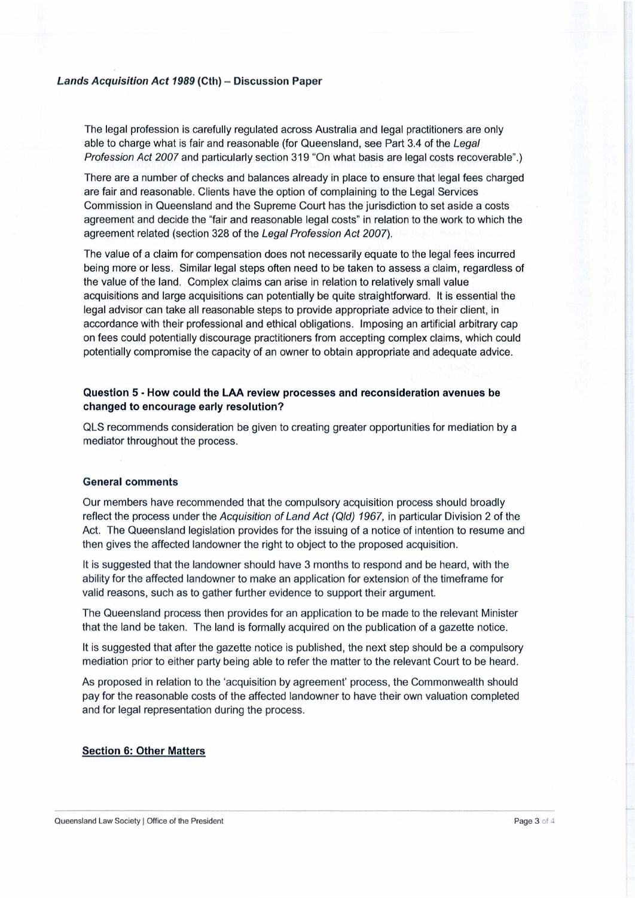### *Lands Acquisition Act <sup>1989</sup>* **(Cth)** - Discussion **Paper**

The legal profession is carefully regulated across Australia and legal practitioners are only able to charge what is fair and reasonable (for Queensland, see Part 3.4 of the *Legal Profession Act 2007* and particularly section 319 "On what basis are legal costs recoverable''.)

There are a number of checks and balances already in place to ensure that legal fees charged are fair and reasonable. Clients have the option of complaining to the Legal Services Commission in Queensland and the Supreme Court has the jurisdiction to set aside a costs agreement and decide the "fair and reasonable legal costs" in relation to the work to which the agreement related (section 328 ofthe *Legal Profession Act 2007).*

The value of a claim for compensation does not necessarily equate to the legal fees incurred being more or less. Similar legal steps often need to be taken to assess a claim, regardless of the value of the land. Complex claims can arise in relation to relatively small value acquisitions and large acquisitions can potentially be quite straightforward. It is essential the legal advisor can take all reasonable steps to provide appropriate advice to their client, in accordance with their professional and ethical obligations. Imposing an artificial arbitrary cap on fees could potentially discourage practitioners from accepting complex claims, which could potentially compromise the capacity of an owner to obtain appropriate and adequate advice.

# **Question 5 - How could the LAA review processes and reconsideration avenues be changed to encourage early resolution?**

QLS recommends consideration be given to creating greater opportunities for mediation by a mediator throughout the process.

#### **General comments**

Our members have recommended that the compulsory acquisition process should broadly reflect the process under the *Acquisition ofLand Act (Qld) 1967,* in particular Division 2 of the Act. The Queensland legislation provides for the issuing of a notice of intention to resume and then gives the affected landowner the right to object to the proposed acquisition.

It is suggested that the landowner should have 3 months to respond and be heard, with the ability for the affected landowner to make an application for extension of the timeframe for valid reasons, such as to gather further evidence to support their argument.

The Queensland process then provides for an application to be made to the relevant Minister that the land be taken. The land is formally acquired on the publication of a gazette notice.

It is suggested that after the gazette notice is published, the next step should be a compulsory mediation prior to either party being able to refer the matter to the relevant Court to be heard.

As proposed in relation to the 'acquisition by agreement' process, the Commonwealth should pay for the reasonable costs of the affected landowner to have their own valuation completed and for legal representation during the process.

#### **Section 6: Other Matters**